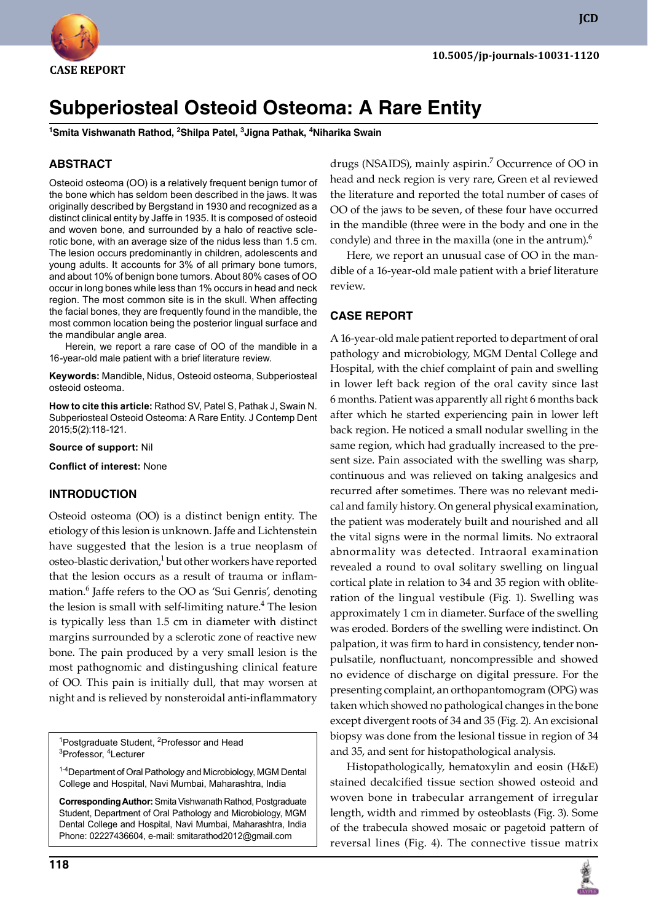

**JCD**

# **Subperiosteal Osteoid Osteoma: A Rare Entity**

**1 Smita Vishwanath Rathod, 2 Shilpa Patel, 3 Jigna Pathak, 4 Niharika Swain**

# **ABSTRACT**

Osteoid osteoma (OO) is a relatively frequent benign tumor of the bone which has seldom been described in the jaws. It was originally described by Bergstand in 1930 and recognized as a distinct clinical entity by Jaffe in 1935. It is composed of osteoid and woven bone, and surrounded by a halo of reactive sclerotic bone, with an average size of the nidus less than 1.5 cm. The lesion occurs predominantly in children, adolescents and young adults. It accounts for 3% of all primary bone tumors, and about 10% of benign bone tumors. About 80% cases of OO occur in long bones while less than 1% occurs in head and neck region. The most common site is in the skull. When affecting the facial bones, they are frequently found in the mandible, the most common location being the posterior lingual surface and the mandibular angle area.

Herein, we report a rare case of OO of the mandible in a 16-year-old male patient with a brief literature review.

**Keywords:** Mandible, Nidus, Osteoid osteoma, Subperiosteal osteoid osteoma.

**How to cite this article:** Rathod SV, Patel S, Pathak J, Swain N. Subperiosteal Osteoid Osteoma: A Rare Entity. J Contemp Dent 2015;5(2):118-121.

**Source of support:** Nil

**Conflict of interest:** None

#### **Introduction**

Osteoid osteoma (OO) is a distinct benign entity. The etiology of this lesion is unknown. Jaffe and Lichtenstein have suggested that the lesion is a true neoplasm of osteo-blastic derivation,<sup>1</sup> but other workers have reported that the lesion occurs as a result of trauma or inflammation.6 Jaffe refers to the OO as 'Sui Genris', denoting the lesion is small with self-limiting nature.<sup>4</sup> The lesion is typically less than 1.5 cm in diameter with distinct margins surrounded by a sclerotic zone of reactive new bone. The pain produced by a very small lesion is the most pathognomic and distingushing clinical feature of OO. This pain is initially dull, that may worsen at night and is relieved by nonsteroidal anti-inflammatory

<sup>1</sup>Postgraduate Student, <sup>2</sup>Professor and Head<br><sup>3</sup>Professor, <sup>4</sup>Lecturer Professor, <sup>4</sup>Lecturer

1-4Department of Oral Pathology and Microbiology, MGM Dental College and Hospital, Navi Mumbai, Maharashtra, India

**Corresponding Author:** Smita Vishwanath Rathod, Postgraduate student, Department of Oral Pathology and Microbiology, Mgm Dental College and Hospital, Navi Mumbai, Maharashtra, India Phone: 02227436604, e-mail: smitarathod2012@gmail.com

drugs (NSAIDS), mainly aspirin.<sup>7</sup> Occurrence of OO in head and neck region is very rare, Green et al reviewed the literature and reported the total number of cases of OO of the jaws to be seven, of these four have occurred in the mandible (three were in the body and one in the condyle) and three in the maxilla (one in the antrum).<sup>6</sup>

Here, we report an unusual case of OO in the mandible of a 16-year-old male patient with a brief literature review.

#### **CASE REPORT**

A 16-year-old male patient reported to department of oral pathology and microbiology, MGM Dental College and hospital, with the chief complaint of pain and swelling in lower left back region of the oral cavity since last 6 months. Patient was apparently all right 6 months back after which he started experiencing pain in lower left back region. He noticed a small nodular swelling in the same region, which had gradually increased to the present size. Pain associated with the swelling was sharp, continuous and was relieved on taking analgesics and recurred after sometimes. There was no relevant medical and family history. On general physical examination, the patient was moderately built and nourished and all the vital signs were in the normal limits. No extraoral abnormality was detected. Intraoral examination revealed a round to oval solitary swelling on lingual cortical plate in relation to 34 and 35 region with obliteration of the lingual vestibule (Fig. 1). Swelling was approximately 1 cm in diameter. Surface of the swelling was eroded. Borders of the swelling were indistinct. On palpation, it was firm to hard in consistency, tender nonpulsatile, nonfluctuant, noncompressible and showed no evidence of discharge on digital pressure. For the presenting complaint, an orthopantomogram (OPG) was taken which showed no pathological changes in the bone except divergent roots of 34 and 35 (Fig. 2). An excisional biopsy was done from the lesional tissue in region of 34 and 35, and sent for histopathological analysis.

Histopathologically, hematoxylin and eosin (H&E) stained decalcified tissue section showed osteoid and woven bone in trabecular arrangement of irregular length, width and rimmed by osteoblasts (Fig. 3). Some of the trabecula showed mosaic or pagetoid pattern of reversal lines (Fig. 4). The connective tissue matrix

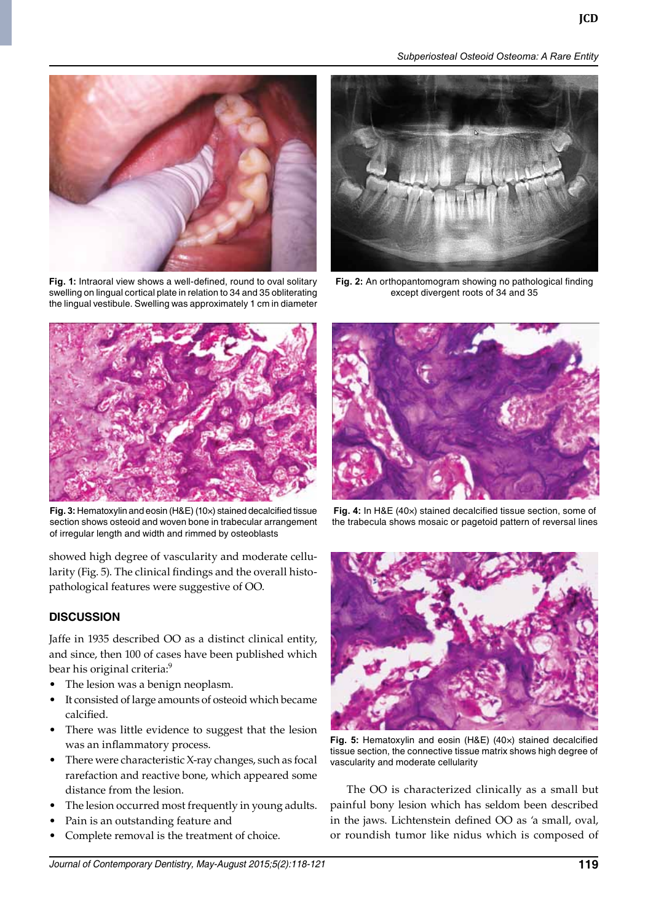*Subperiosteal Osteoid Osteoma: A Rare Entity*



**Fig. 1:** Intraoral view shows a well-defined, round to oval solitary swelling on lingual cortical plate in relation to 34 and 35 obliterating the lingual vestibule. Swelling was approximately 1 cm in diameter



**Fig. 2:** An orthopantomogram showing no pathological finding except divergent roots of 34 and 35



**Fig. 3:** Hematoxylin and eosin (H&E) (10×) stained decalcified tissue section shows osteoid and woven bone in trabecular arrangement of irregular length and width and rimmed by osteoblasts

showed high degree of vascularity and moderate cellularity (Fig. 5). The clinical findings and the overall histopathological features were suggestive of OO.

# **DISCUSSION**

Jaffe in 1935 described OO as a distinct clinical entity, and since, then 100 of cases have been published which bear his original criteria:<sup>9</sup>

- The lesion was a benign neoplasm.
- It consisted of large amounts of osteoid which became calcified.
- There was little evidence to suggest that the lesion was an inflammatory process.
- There were characteristic X-ray changes, such as focal rarefaction and reactive bone, which appeared some distance from the lesion.
- The lesion occurred most frequently in young adults.
- Pain is an outstanding feature and
- Complete removal is the treatment of choice.



**Fig. 4:** In H&E (40×) stained decalcified tissue section, some of the trabecula shows mosaic or pagetoid pattern of reversal lines



**Fig. 5:** Hematoxylin and eosin (H&E) (40×) stained decalcified tissue section, the connective tissue matrix shows high degree of vascularity and moderate cellularity

The OO is characterized clinically as a small but painful bony lesion which has seldom been described in the jaws. Lichtenstein defined OO as 'a small, oval, or roundish tumor like nidus which is composed of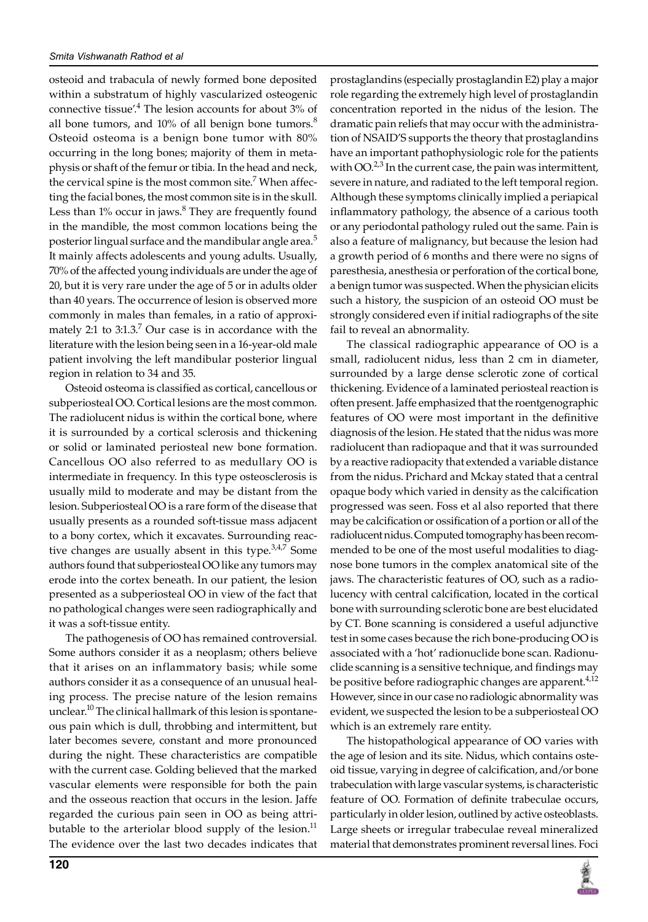osteoid and trabacula of newly formed bone deposited within a substratum of highly vascularized osteogenic connective tissue'.4 The lesion accounts for about 3% of all bone tumors, and  $10\%$  of all benign bone tumors.<sup>8</sup> Osteoid osteoma is a benign bone tumor with 80% occurring in the long bones; majority of them in metaphysis or shaft of the femur or tibia. In the head and neck, the cervical spine is the most common site.<sup>7</sup> When affecting the facial bones, the most common site is in the skull. Less than 1% occur in jaws.<sup>8</sup> They are frequently found in the mandible, the most common locations being the posterior lingual surface and the mandibular angle area.<sup>5</sup> It mainly affects adolescents and young adults. Usually, 70% of the affected young individuals are under the age of 20, but it is very rare under the age of 5 or in adults older than 40 years. The occurrence of lesion is observed more commonly in males than females, in a ratio of approximately 2:1 to  $3:1.3$ .<sup>7</sup> Our case is in accordance with the literature with the lesion being seen in a 16-year-old male patient involving the left mandibular posterior lingual region in relation to 34 and 35.

Osteoid osteoma is classified as cortical, cancellous or subperiosteal OO. Cortical lesions are the most common. The radiolucent nidus is within the cortical bone, where it is surrounded by a cortical sclerosis and thickening or solid or laminated periosteal new bone formation. Cancellous OO also referred to as medullary OO is intermediate in frequency. In this type osteosclerosis is usually mild to moderate and may be distant from the lesion. Subperiosteal OO is a rare form of the disease that usually presents as a rounded soft-tissue mass adjacent to a bony cortex, which it excavates. Surrounding reactive changes are usually absent in this type.<sup>3,4,7</sup> Some authors found that subperiosteal OO like any tumors may erode into the cortex beneath. In our patient, the lesion presented as a subperiosteal OO in view of the fact that no pathological changes were seen radiographically and it was a soft-tissue entity.

The pathogenesis of OO has remained controversial. Some authors consider it as a neoplasm; others believe that it arises on an inflammatory basis; while some authors consider it as a consequence of an unusual healing process. The precise nature of the lesion remains unclear.10 The clinical hallmark of this lesion is spontaneous pain which is dull, throbbing and intermittent, but later becomes severe, constant and more pronounced during the night. These characteristics are compatible with the current case. Golding believed that the marked vascular elements were responsible for both the pain and the osseous reaction that occurs in the lesion. Jaffe regarded the curious pain seen in OO as being attributable to the arteriolar blood supply of the lesion. $<sup>11</sup>$ </sup> The evidence over the last two decades indicates that

prostaglandins (especially prostaglandin E2) play a major role regarding the extremely high level of prostaglandin concentration reported in the nidus of the lesion. The dramatic pain reliefs that may occur with the administration of NSAID'S supports the theory that prostaglandins have an important pathophysiologic role for the patients with  $OO.^{2,3}$  In the current case, the pain was intermittent, severe in nature, and radiated to the left temporal region. Although these symptoms clinically implied a periapical inflammatory pathology, the absence of a carious tooth or any periodontal pathology ruled out the same. Pain is also a feature of malignancy, but because the lesion had a growth period of 6 months and there were no signs of paresthesia, anesthesia or perforation of the cortical bone, a benign tumor was suspected. When the physician elicits such a history, the suspicion of an osteoid OO must be strongly considered even if initial radiographs of the site fail to reveal an abnormality.

The classical radiographic appearance of OO is a small, radiolucent nidus, less than 2 cm in diameter, surrounded by a large dense sclerotic zone of cortical thickening. Evidence of a laminated periosteal reaction is often present. Jaffe emphasized that the roentgenographic features of OO were most important in the definitive diagnosis of the lesion. He stated that the nidus was more radiolucent than radiopaque and that it was surrounded by a reactive radiopacity that extended a variable distance from the nidus. Prichard and Mckay stated that a central opaque body which varied in density as the calcification progressed was seen. Foss et al also reported that there may be calcification or ossification of a portion or all of the radiolucent nidus. Computed tomography has been recommended to be one of the most useful modalities to diagnose bone tumors in the complex anatomical site of the jaws. The characteristic features of OO, such as a radiolucency with central calcification, located in the cortical bone with surrounding sclerotic bone are best elucidated by CT. Bone scanning is considered a useful adjunctive test in some cases because the rich bone-producing OO is associated with a 'hot' radionuclide bone scan. Radionuclide scanning is a sensitive technique, and findings may be positive before radiographic changes are apparent.<sup>4,12</sup> However, since in our case no radiologic abnormality was evident, we suspected the lesion to be a subperiosteal OO which is an extremely rare entity.

The histopathological appearance of OO varies with the age of lesion and its site. Nidus, which contains osteoid tissue, varying in degree of calcification, and/or bone trabeculation with large vascular systems, is characteristic feature of OO. Formation of definite trabeculae occurs, particularly in older lesion, outlined by active osteoblasts. Large sheets or irregular trabeculae reveal mineralized material that demonstrates prominent reversal lines. Foci